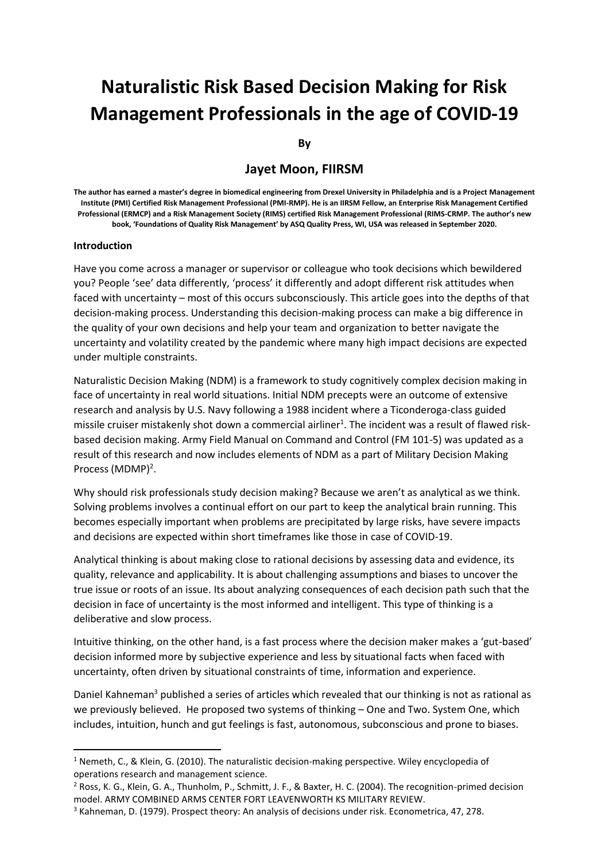# **Naturalistic Risk Based Decision Making for Risk Management Professionals in the age of COVID-19**

**By**

## **Jayet Moon, FIIRSM**

**The author has earned a master's degree in biomedical engineering from Drexel University in Philadelphia and is a Project Management Institute (PMI) Certified Risk Management Professional (PMI-RMP). He is an IIRSM Fellow, an Enterprise Risk Management Certified Professional (ERMCP) and a Risk Management Society (RIMS) certified Risk Management Professional (RIMS-CRMP. The author's new book, 'Foundations of Quality Risk Management' by ASQ Quality Press, WI, USA was released in September 2020.**

## **Introduction**

Have you come across a manager or supervisor or colleague who took decisions which bewildered you? People 'see' data differently, 'process' it differently and adopt different risk attitudes when faced with uncertainty – most of this occurs subconsciously. This article goes into the depths of that decision-making process. Understanding this decision-making process can make a big difference in the quality of your own decisions and help your team and organization to better navigate the uncertainty and volatility created by the pandemic where many high impact decisions are expected under multiple constraints.

Naturalistic Decision Making (NDM) is a framework to study cognitively complex decision making in face of uncertainty in real world situations. Initial NDM precepts were an outcome of extensive research and analysis by U.S. Navy following a 1988 incident where a Ticonderoga-class guided missile cruiser mistakenly shot down a commercial airliner<sup>1</sup>. The incident was a result of flawed riskbased decision making. Army Field Manual on Command and Control (FM 101-5) was updated as a result of this research and now includes elements of NDM as a part of Military Decision Making Process (MDMP)<sup>2</sup>.

Why should risk professionals study decision making? Because we aren't as analytical as we think. Solving problems involves a continual effort on our part to keep the analytical brain running. This becomes especially important when problems are precipitated by large risks, have severe impacts and decisions are expected within short timeframes like those in case of COVID-19.

Analytical thinking is about making close to rational decisions by assessing data and evidence, its quality, relevance and applicability. It is about challenging assumptions and biases to uncover the true issue or roots of an issue. Its about analyzing consequences of each decision path such that the decision in face of uncertainty is the most informed and intelligent. This type of thinking is a deliberative and slow process.

Intuitive thinking, on the other hand, is a fast process where the decision maker makes a 'gut-based' decision informed more by subjective experience and less by situational facts when faced with uncertainty, often driven by situational constraints of time, information and experience.

Daniel Kahneman<sup>3</sup> published a series of articles which revealed that our thinking is not as rational as we previously believed. He proposed two systems of thinking – One and Two. System One, which includes, intuition, hunch and gut feelings is fast, autonomous, subconscious and prone to biases.

<sup>&</sup>lt;sup>1</sup> Nemeth, C., & Klein, G. (2010). The naturalistic decision-making perspective. Wiley encyclopedia of operations research and management science.

<sup>&</sup>lt;sup>2</sup> Ross, K. G., Klein, G. A., Thunholm, P., Schmitt, J. F., & Baxter, H. C. (2004). The recognition-primed decision model. ARMY COMBINED ARMS CENTER FORT LEAVENWORTH KS MILITARY REVIEW.

<sup>3</sup> Kahneman, D. (1979). Prospect theory: An analysis of decisions under risk. Econometrica, 47, 278.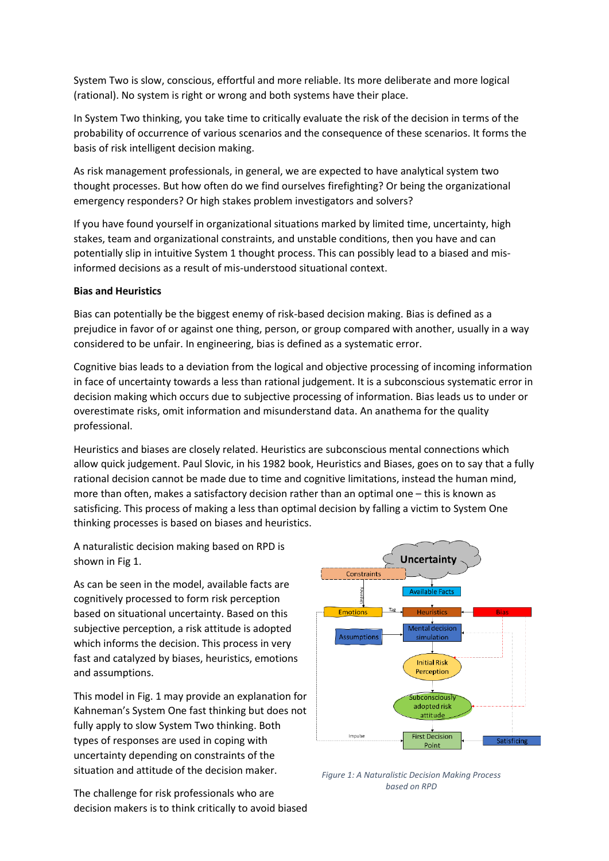System Two is slow, conscious, effortful and more reliable. Its more deliberate and more logical (rational). No system is right or wrong and both systems have their place.

In System Two thinking, you take time to critically evaluate the risk of the decision in terms of the probability of occurrence of various scenarios and the consequence of these scenarios. It forms the basis of risk intelligent decision making.

As risk management professionals, in general, we are expected to have analytical system two thought processes. But how often do we find ourselves firefighting? Or being the organizational emergency responders? Or high stakes problem investigators and solvers?

If you have found yourself in organizational situations marked by limited time, uncertainty, high stakes, team and organizational constraints, and unstable conditions, then you have and can potentially slip in intuitive System 1 thought process. This can possibly lead to a biased and misinformed decisions as a result of mis-understood situational context.

## **Bias and Heuristics**

Bias can potentially be the biggest enemy of risk-based decision making. Bias is defined as a prejudice in favor of or against one thing, person, or group compared with another, usually in a way considered to be unfair. In engineering, bias is defined as a systematic error.

Cognitive bias leads to a deviation from the logical and objective processing of incoming information in face of uncertainty towards a less than rational judgement. It is a subconscious systematic error in decision making which occurs due to subjective processing of information. Bias leads us to under or overestimate risks, omit information and misunderstand data. An anathema for the quality professional.

Heuristics and biases are closely related. Heuristics are subconscious mental connections which allow quick judgement. Paul Slovic, in his 1982 book, Heuristics and Biases, goes on to say that a fully rational decision cannot be made due to time and cognitive limitations, instead the human mind, more than often, makes a satisfactory decision rather than an optimal one – this is known as satisficing. This process of making a less than optimal decision by falling a victim to System One thinking processes is based on biases and heuristics.

A naturalistic decision making based on RPD is shown in Fig 1.

As can be seen in the model, available facts are cognitively processed to form risk perception based on situational uncertainty. Based on this subjective perception, a risk attitude is adopted which informs the decision. This process in very fast and catalyzed by biases, heuristics, emotions and assumptions.

This model in Fig. 1 may provide an explanation for Kahneman's System One fast thinking but does not fully apply to slow System Two thinking. Both types of responses are used in coping with uncertainty depending on constraints of the situation and attitude of the decision maker.

The challenge for risk professionals who are decision makers is to think critically to avoid biased



*Figure 1: A Naturalistic Decision Making Process based on RPD*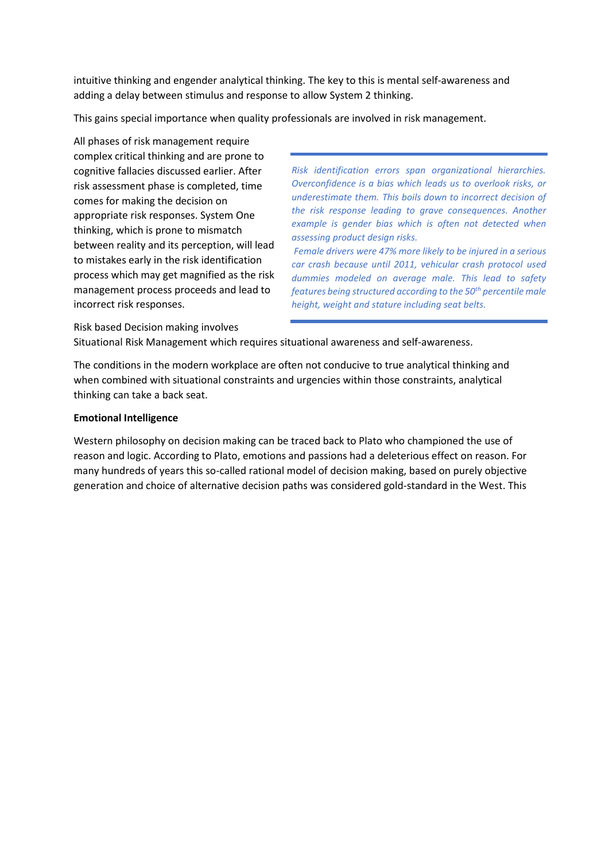intuitive thinking and engender analytical thinking. The key to this is mental self-awareness and adding a delay between stimulus and response to allow System 2 thinking.

This gains special importance when quality professionals are involved in risk management.

All phases of risk management require complex critical thinking and are prone to cognitive fallacies discussed earlier. After risk assessment phase is completed, time comes for making the decision on appropriate risk responses. System One thinking, which is prone to mismatch between reality and its perception, will lead to mistakes early in the risk identification process which may get magnified as the risk management process proceeds and lead to incorrect risk responses.

*Risk identification errors span organizational hierarchies. Overconfidence is a bias which leads us to overlook risks, or underestimate them. This boils down to incorrect decision of the risk response leading to grave consequences. Another example is gender bias which is often not detected when assessing product design risks.*

*Female drivers were 47% more likely to be injured in a serious car crash because until 2011, vehicular crash protocol used dummies modeled on average male. This lead to safety features being structured according to the 50th percentile male height, weight and stature including seat belts.*

Risk based Decision making involves Situational Risk Management which requires situational awareness and self-awareness.

The conditions in the modern workplace are often not conducive to true analytical thinking and when combined with situational constraints and urgencies within those constraints, analytical thinking can take a back seat.

## **Emotional Intelligence**

Western philosophy on decision making can be traced back to Plato who championed the use of reason and logic. According to Plato, emotions and passions had a deleterious effect on reason. For many hundreds of years this so-called rational model of decision making, based on purely objective generation and choice of alternative decision paths was considered gold-standard in the West. This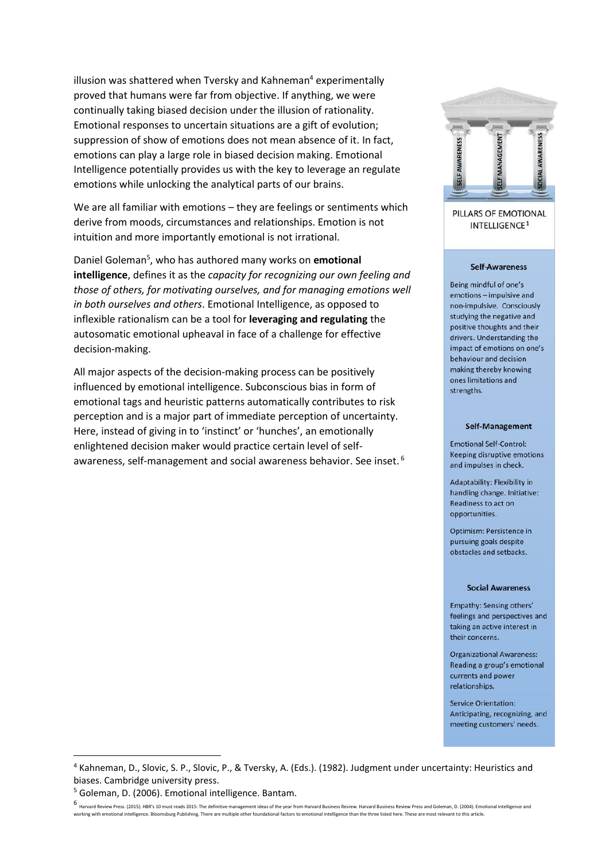illusion was shattered when Tversky and Kahneman<sup>4</sup> experimentally proved that humans were far from objective. If anything, we were continually taking biased decision under the illusion of rationality. Emotional responses to uncertain situations are a gift of evolution; suppression of show of emotions does not mean absence of it. In fact, emotions can play a large role in biased decision making. Emotional Intelligence potentially provides us with the key to leverage an regulate emotions while unlocking the analytical parts of our brains.

We are all familiar with emotions – they are feelings or sentiments which derive from moods, circumstances and relationships. Emotion is not intuition and more importantly emotional is not irrational.

Daniel Goleman<sup>5</sup> , who has authored many works on **emotional intelligence**, defines it as the *capacity for recognizing our own feeling and those of others, for motivating ourselves, and for managing emotions well in both ourselves and others*. Emotional Intelligence, as opposed to inflexible rationalism can be a tool for **leveraging and regulating** the autosomatic emotional upheaval in face of a challenge for effective decision-making.

All major aspects of the decision-making process can be positively influenced by emotional intelligence. Subconscious bias in form of emotional tags and heuristic patterns automatically contributes to risk perception and is a major part of immediate perception of uncertainty. Here, instead of giving in to 'instinct' or 'hunches', an emotionally enlightened decision maker would practice certain level of selfawareness, self-management and social awareness behavior. See inset. <sup>6</sup>



PILLARS OF EMOTIONAL INTELLIGENCE<sup>1</sup>

#### **Self-Awareness**

Being mindful of one's emotions - impulsive and non-impulsive. Consciously studying the negative and positive thoughts and their drivers. Understanding the impact of emotions on one's behaviour and decision making thereby knowing ones limitations and strengths.

#### **Self-Management**

**Emotional Self-Control:** Keeping disruptive emotions and impulses in check.

Adaptability: Flexibility in handling change. Initiative: Readiness to act on opportunities.

Optimism: Persistence in pursuing goals despite obstacles and setbacks.

#### **Social Awareness**

Empathy: Sensing others' feelings and perspectives and taking an active interest in their concerns.

**Organizational Awareness:** Reading a group's emotional currents and power relationships.

**Service Orientation:** Anticipating, recognizing, and meeting customers' needs.

<sup>4</sup> Kahneman, D., Slovic, S. P., Slovic, P., & Tversky, A. (Eds.). (1982). Judgment under uncertainty: Heuristics and biases. Cambridge university press.

<sup>5</sup> Goleman, D. (2006). Emotional intelligence. Bantam.

<sup>6</sup> Harvard Review Press. (2015). HBR's 10 must reads 2015: The definitive management ideas of the year from Harvard Business Review. Harvard Business Review Press and Goleman, D. (2004). Emotional intelligence and working with emotional intelligence. Bloomsburg Publishing. There are multiple other foundational factors to emotional intelligence than the three listed here. These are most relevant to this article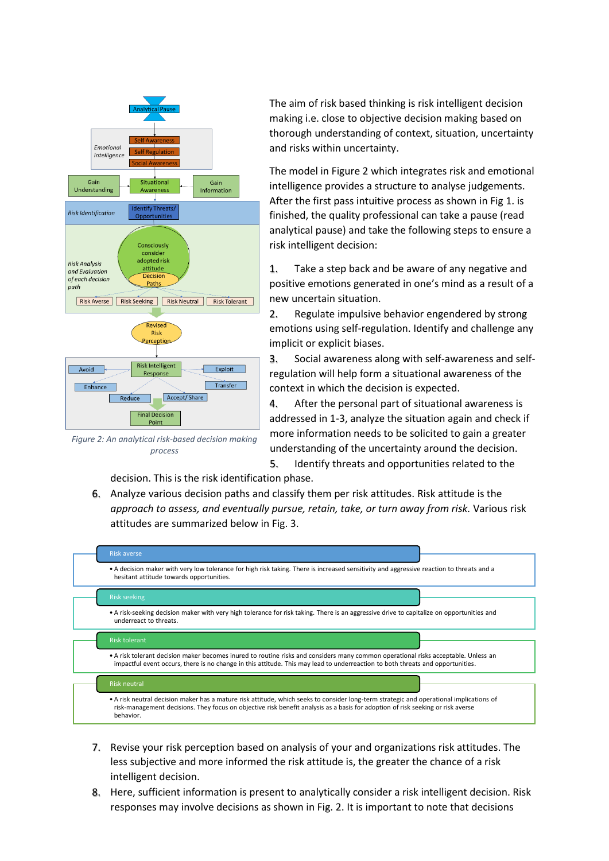

*Figure 2: An analytical risk-based decision making process*

The aim of risk based thinking is risk intelligent decision making i.e. close to objective decision making based on thorough understanding of context, situation, uncertainty and risks within uncertainty.

The model in Figure 2 which integrates risk and emotional intelligence provides a structure to analyse judgements. After the first pass intuitive process as shown in Fig 1. is finished, the quality professional can take a pause (read analytical pause) and take the following steps to ensure a risk intelligent decision:

1. Take a step back and be aware of any negative and positive emotions generated in one's mind as a result of a new uncertain situation.

2. Regulate impulsive behavior engendered by strong emotions using self-regulation. Identify and challenge any implicit or explicit biases.

3. Social awareness along with self-awareness and selfregulation will help form a situational awareness of the context in which the decision is expected.

4. After the personal part of situational awareness is addressed in 1-3, analyze the situation again and check if more information needs to be solicited to gain a greater understanding of the uncertainty around the decision.

5. Identify threats and opportunities related to the

decision. This is the risk identification phase.

6. Analyze various decision paths and classify them per risk attitudes. Risk attitude is the *approach to assess, and eventually pursue, retain, take, or turn away from risk.* Various risk attitudes are summarized below in Fig. 3.



- 7. Revise your risk perception based on analysis of your and organizations risk attitudes. The less subjective and more informed the risk attitude is, the greater the chance of a risk intelligent decision.
- 8. Here, sufficient information is present to analytically consider a risk intelligent decision. Risk responses may involve decisions as shown in Fig. 2. It is important to note that decisions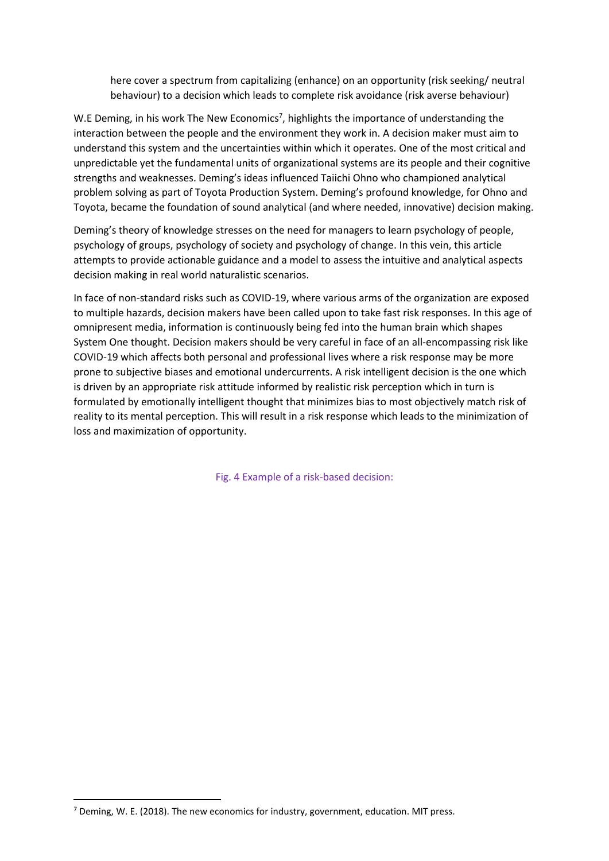here cover a spectrum from capitalizing (enhance) on an opportunity (risk seeking/ neutral behaviour) to a decision which leads to complete risk avoidance (risk averse behaviour)

W.E Deming, in his work The New Economics<sup>7</sup>, highlights the importance of understanding the interaction between the people and the environment they work in. A decision maker must aim to understand this system and the uncertainties within which it operates. One of the most critical and unpredictable yet the fundamental units of organizational systems are its people and their cognitive strengths and weaknesses. Deming's ideas influenced Taiichi Ohno who championed analytical problem solving as part of Toyota Production System. Deming's profound knowledge, for Ohno and Toyota, became the foundation of sound analytical (and where needed, innovative) decision making.

Deming's theory of knowledge stresses on the need for managers to learn psychology of people, psychology of groups, psychology of society and psychology of change. In this vein, this article attempts to provide actionable guidance and a model to assess the intuitive and analytical aspects decision making in real world naturalistic scenarios.

In face of non-standard risks such as COVID-19, where various arms of the organization are exposed to multiple hazards, decision makers have been called upon to take fast risk responses. In this age of omnipresent media, information is continuously being fed into the human brain which shapes System One thought. Decision makers should be very careful in face of an all-encompassing risk like COVID-19 which affects both personal and professional lives where a risk response may be more prone to subjective biases and emotional undercurrents. A risk intelligent decision is the one which is driven by an appropriate risk attitude informed by realistic risk perception which in turn is formulated by emotionally intelligent thought that minimizes bias to most objectively match risk of reality to its mental perception. This will result in a risk response which leads to the minimization of loss and maximization of opportunity.

Fig. 4 Example of a risk-based decision:

 $7$  Deming, W. E. (2018). The new economics for industry, government, education. MIT press.